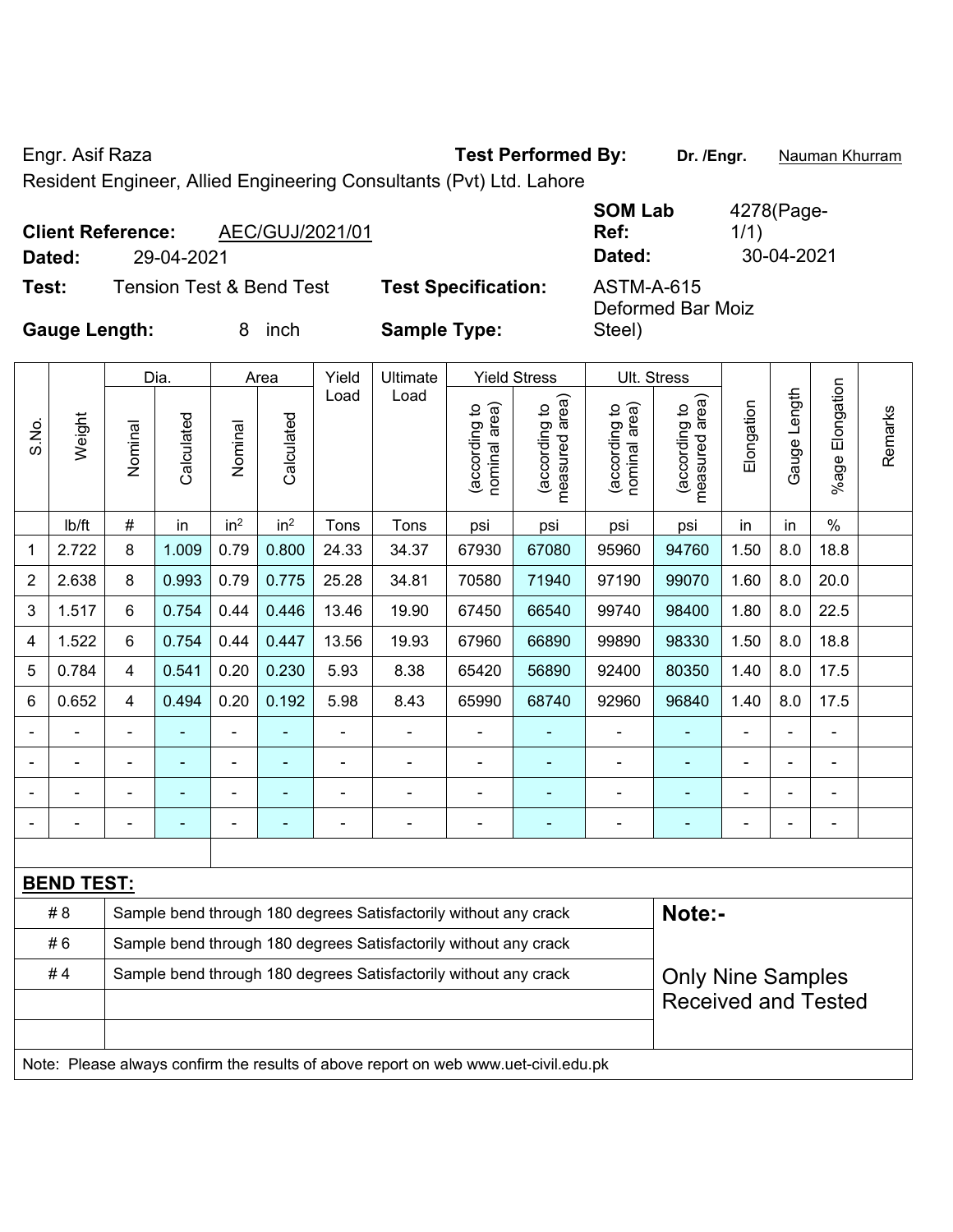Engr. Asif Raza **Test Performed By:** Dr. /Engr. **Nauman Khurram** 

Resident Engineer, Allied Engineering Consultants (Pvt) Ltd. Lahore

|                      | <b>Client Reference:</b> | AEC/GUJ/2021/01                     |                            | <b>SOM Lab</b><br>Ref:          | 4278(Page-<br>1/1) |  |  |  |
|----------------------|--------------------------|-------------------------------------|----------------------------|---------------------------------|--------------------|--|--|--|
| Dated:               | 29-04-2021               |                                     |                            | Dated:                          | 30-04-2021         |  |  |  |
| Test:                |                          | <b>Tension Test &amp; Bend Test</b> | <b>Test Specification:</b> | ASTM-A-615<br>Deformed Bar Moiz |                    |  |  |  |
| <b>Gauge Length:</b> |                          | inch<br>8.                          | <b>Sample Type:</b>        | Steel)                          |                    |  |  |  |

|                |                   |                | Dia.           | Area                         |                 | Yield          | Ultimate                                                                            |                                | <b>Yield Stress</b>             |                                | Ult. Stress                     |                |                |                      |         |
|----------------|-------------------|----------------|----------------|------------------------------|-----------------|----------------|-------------------------------------------------------------------------------------|--------------------------------|---------------------------------|--------------------------------|---------------------------------|----------------|----------------|----------------------|---------|
| S.No.          | Weight            | Nominal        | Calculated     | Nominal                      | Calculated      | Load           | Load                                                                                | nominal area)<br>(according to | measured area)<br>(according to | nominal area)<br>(according to | (according to<br>measured area) | Elongation     | Gauge Length   | Elongation<br>%age l | Remarks |
|                | lb/ft             | $\#$           | in             | in <sup>2</sup>              | in <sup>2</sup> | Tons           | Tons                                                                                | psi                            | psi                             | psi                            | psi                             | in             | in             | $\%$                 |         |
| 1              | 2.722             | 8              | 1.009          | 0.79                         | 0.800           | 24.33          | 34.37                                                                               | 67930                          | 67080                           | 95960                          | 94760                           | 1.50           | 8.0            | 18.8                 |         |
| $\overline{2}$ | 2.638             | 8              | 0.993          | 0.79                         | 0.775           | 25.28          | 34.81                                                                               | 70580                          | 71940                           | 97190                          | 99070                           | 1.60           | 8.0            | 20.0                 |         |
| 3              | 1.517             | 6              | 0.754          | 0.44                         | 0.446           | 13.46          | 19.90                                                                               | 67450                          | 66540                           | 99740                          | 98400                           | 1.80           | 8.0            | 22.5                 |         |
| 4              | 1.522             | 6              | 0.754          | 0.44                         | 0.447           | 13.56          | 19.93                                                                               | 67960                          | 66890                           | 99890                          | 98330                           | 1.50           | 8.0            | 18.8                 |         |
| 5              | 0.784             | $\overline{4}$ | 0.541          | 0.20                         | 0.230           | 5.93           | 8.38                                                                                | 65420                          | 56890                           | 92400                          | 80350                           | 1.40           | 8.0            | 17.5                 |         |
| 6              | 0.652             | $\overline{4}$ | 0.494          | 0.20                         | 0.192           | 5.98           | 8.43                                                                                | 65990                          | 68740                           | 92960                          | 96840                           | 1.40           | 8.0            | 17.5                 |         |
|                |                   | $\blacksquare$ | $\blacksquare$ | ä,                           | ۰               | ÷              | ÷,                                                                                  | $\blacksquare$                 | $\blacksquare$                  | $\blacksquare$                 | $\blacksquare$                  | ä,             |                | $\blacksquare$       |         |
|                | ÷                 |                | $\blacksquare$ | $\blacksquare$               | $\blacksquare$  | -              | ÷                                                                                   | $\blacksquare$                 | $\blacksquare$                  | $\blacksquare$                 | $\blacksquare$                  | $\blacksquare$ | $\blacksquare$ | $\blacksquare$       |         |
|                |                   | $\blacksquare$ | $\blacksquare$ | $\qquad \qquad \blacksquare$ | ۰               | $\blacksquare$ | ÷                                                                                   | L,                             | Ē.                              | $\blacksquare$                 | ä,                              | Ē,             |                | $\blacksquare$       |         |
|                | $\blacksquare$    | $\overline{a}$ | $\blacksquare$ | $\blacksquare$               | ۰               | ÷              | ÷                                                                                   | $\blacksquare$                 | ÷                               | $\blacksquare$                 | $\blacksquare$                  | $\blacksquare$ |                | $\blacksquare$       |         |
|                |                   |                |                |                              |                 |                |                                                                                     |                                |                                 |                                |                                 |                |                |                      |         |
|                | <b>BEND TEST:</b> |                |                |                              |                 |                |                                                                                     |                                |                                 |                                |                                 |                |                |                      |         |
|                | #8                |                |                |                              |                 |                | Sample bend through 180 degrees Satisfactorily without any crack                    |                                |                                 |                                | Note:-                          |                |                |                      |         |
|                | #6                |                |                |                              |                 |                | Sample bend through 180 degrees Satisfactorily without any crack                    |                                |                                 |                                |                                 |                |                |                      |         |
|                | #4                |                |                |                              |                 |                | Sample bend through 180 degrees Satisfactorily without any crack                    |                                |                                 |                                | <b>Only Nine Samples</b>        |                |                |                      |         |
|                |                   |                |                |                              |                 |                |                                                                                     |                                |                                 | <b>Received and Tested</b>     |                                 |                |                |                      |         |
|                |                   |                |                |                              |                 |                |                                                                                     |                                |                                 |                                |                                 |                |                |                      |         |
|                |                   |                |                |                              |                 |                | Note: Please always confirm the results of above report on web www.uet-civil.edu.pk |                                |                                 |                                |                                 |                |                |                      |         |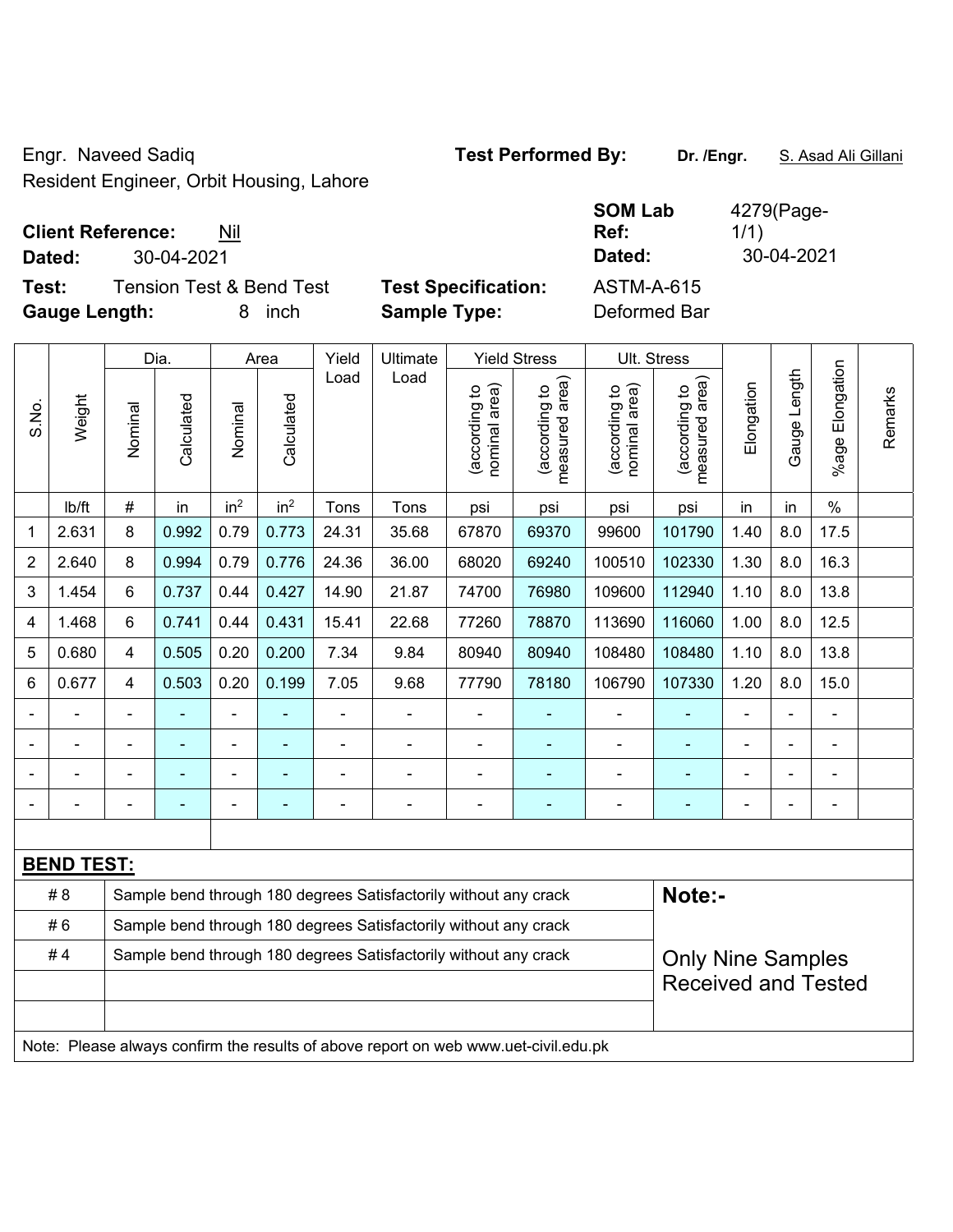Engr. Naveed Sadiq **Test Performed By: Dr. /Engr.** S. Asad Ali Gillani Resident Engineer, Orbit Housing, Lahore

# **Client Reference:** Nil

**Test:** Tension Test & Bend Test **Test Specification: Gauge Length:** 8 inch **Sample Type:** Deformed Bar

|        |                                     |                            | <b>SOM Lab</b> | 4279(Page- |
|--------|-------------------------------------|----------------------------|----------------|------------|
|        | <b>Client Reference:</b><br>Nil     |                            | Ref:           | 1/1)       |
| Dated: | 30-04-2021                          |                            | Dated:         | 30-04-2021 |
| Test:  | <b>Tension Test &amp; Bend Test</b> | <b>Test Specification:</b> | ASTM-A-615     |            |

|                |                   | Dia.<br>Area                                                     |            | Yield           | Ultimate                 |       | <b>Yield Stress</b>                                                                 |                                | Ult. Stress                                 |                                |                                 |                |              |                       |         |  |
|----------------|-------------------|------------------------------------------------------------------|------------|-----------------|--------------------------|-------|-------------------------------------------------------------------------------------|--------------------------------|---------------------------------------------|--------------------------------|---------------------------------|----------------|--------------|-----------------------|---------|--|
| S.No.          | Weight            | Nominal                                                          | Calculated | Nominal         | Calculated               | Load  | Load                                                                                | nominal area)<br>(according to | (according to<br>neasured area)<br>measured | (according to<br>nominal area) | (according to<br>measured area) | Elongation     | Gauge Length | Elongation<br>$%$ age | Remarks |  |
|                | Ib/ft             | $\#$                                                             | in         | in <sup>2</sup> | in <sup>2</sup>          | Tons  | Tons                                                                                | psi                            | psi                                         | psi                            | psi                             | in             | in           | $\%$                  |         |  |
| 1              | 2.631             | 8                                                                | 0.992      | 0.79            | 0.773                    | 24.31 | 35.68                                                                               | 67870                          | 69370                                       | 99600                          | 101790                          | 1.40           | 8.0          | 17.5                  |         |  |
| $\overline{2}$ | 2.640             | 8                                                                | 0.994      | 0.79            | 0.776                    | 24.36 | 36.00                                                                               | 68020                          | 69240                                       | 100510                         | 102330                          | 1.30           | 8.0          | 16.3                  |         |  |
| 3              | 1.454             | 6                                                                | 0.737      | 0.44            | 0.427                    | 14.90 | 21.87                                                                               | 74700                          | 76980                                       | 109600                         | 112940                          | 1.10           | 8.0          | 13.8                  |         |  |
| 4              | 1.468             | 6                                                                | 0.741      | 0.44            | 0.431                    | 15.41 | 22.68                                                                               | 77260                          | 78870                                       | 113690                         | 116060                          | 1.00           | 8.0          | 12.5                  |         |  |
| 5              | 0.680             | $\overline{4}$                                                   | 0.505      | 0.20            | 0.200                    | 7.34  | 9.84                                                                                | 80940                          | 80940                                       | 108480                         | 108480                          | 1.10           | 8.0          | 13.8                  |         |  |
| 6              | 0.677             | $\overline{4}$                                                   | 0.503      | 0.20            | 0.199                    | 7.05  | 9.68                                                                                | 77790                          | 78180                                       | 106790                         | 107330                          | 1.20           | 8.0          | 15.0                  |         |  |
|                |                   | $\blacksquare$                                                   |            | ÷,              | $\blacksquare$           | ÷,    | $\blacksquare$                                                                      | $\blacksquare$                 | ÷,                                          | ÷,                             | ÷                               | $\blacksquare$ |              | ÷,                    |         |  |
|                |                   |                                                                  |            |                 |                          |       |                                                                                     |                                |                                             |                                |                                 |                |              |                       |         |  |
|                |                   |                                                                  |            | ä,              |                          |       |                                                                                     | $\blacksquare$                 |                                             |                                |                                 |                |              |                       |         |  |
|                |                   |                                                                  |            | ۰               | $\overline{\phantom{0}}$ |       | $\overline{a}$                                                                      | $\overline{a}$                 | ٠                                           | $\overline{\phantom{a}}$       | $\overline{\phantom{0}}$        | $\blacksquare$ |              | $\blacksquare$        |         |  |
|                |                   |                                                                  |            |                 |                          |       |                                                                                     |                                |                                             |                                |                                 |                |              |                       |         |  |
|                | <b>BEND TEST:</b> |                                                                  |            |                 |                          |       |                                                                                     |                                |                                             |                                |                                 |                |              |                       |         |  |
|                | #8                |                                                                  |            |                 |                          |       | Sample bend through 180 degrees Satisfactorily without any crack                    |                                |                                             |                                | Note:-                          |                |              |                       |         |  |
|                | #6                |                                                                  |            |                 |                          |       | Sample bend through 180 degrees Satisfactorily without any crack                    |                                |                                             |                                |                                 |                |              |                       |         |  |
|                | #4                | Sample bend through 180 degrees Satisfactorily without any crack |            |                 |                          |       |                                                                                     |                                |                                             |                                | <b>Only Nine Samples</b>        |                |              |                       |         |  |
|                |                   |                                                                  |            |                 |                          |       |                                                                                     |                                |                                             |                                | <b>Received and Tested</b>      |                |              |                       |         |  |
|                |                   |                                                                  |            |                 |                          |       |                                                                                     |                                |                                             |                                |                                 |                |              |                       |         |  |
|                |                   |                                                                  |            |                 |                          |       | Note: Please always confirm the results of above report on web www.uet-civil.edu.pk |                                |                                             |                                |                                 |                |              |                       |         |  |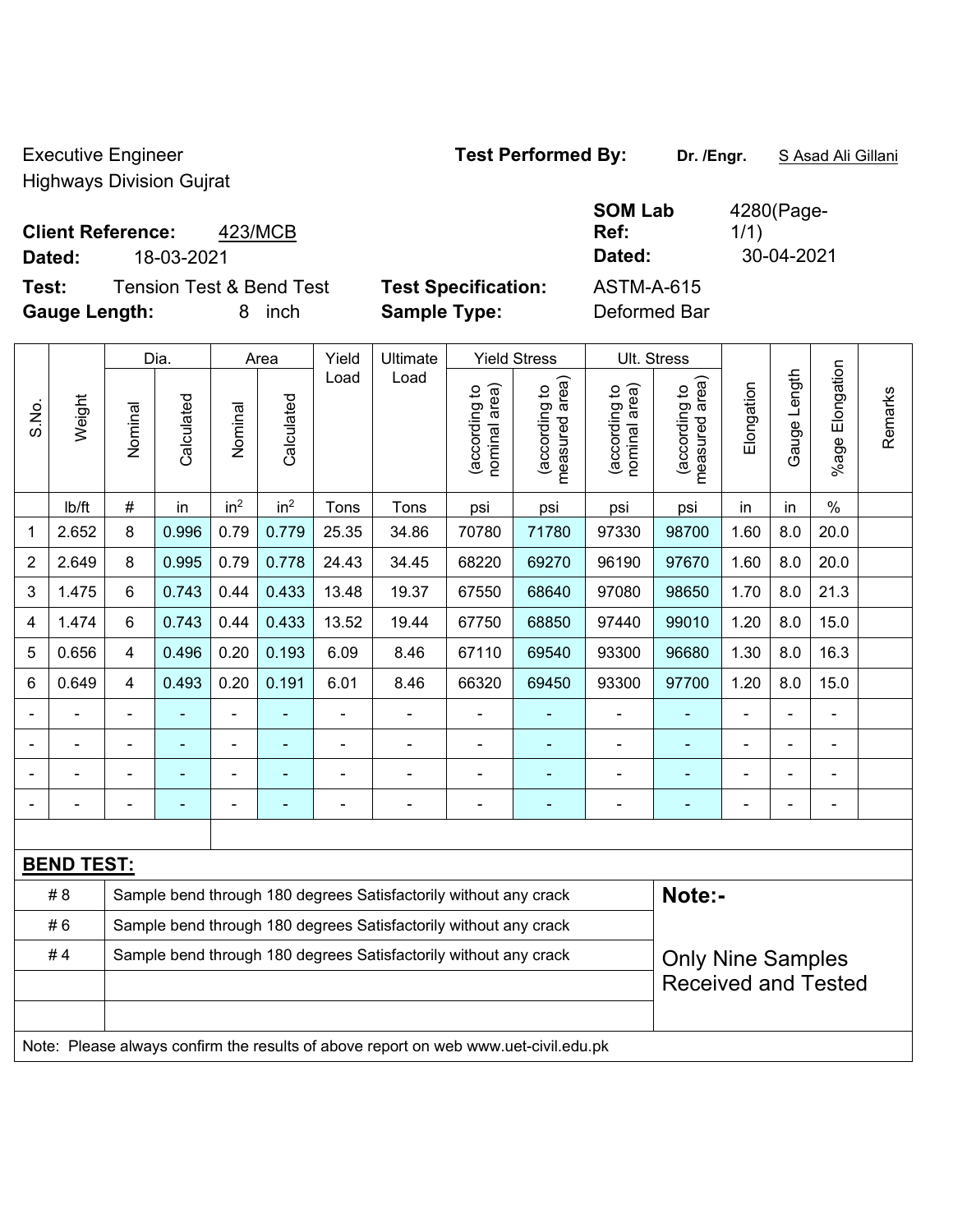Executive Engineer **Test Performed By:** Dr. /Engr. **SAsad Ali Gillani** By: Dr. /Engr. **SAsad Ali Gillani** 

 $\top$ 

1/1)

 $\top$ 

 $\top$ 

Highways Division Gujrat

### **Client Reference:** 423/MCB

**Dated:** 18-03-2021 **Dated:** 30-04-2021

 $\overline{\phantom{a}}$ 

 $\top$ 

**Test:** Tension Test & Bend Test **Test Specification:** ASTM-A-615 **Gauge Length:** 8 inch **Sample Type:** Deformed Bar

 $\top$ 

 $\overline{\phantom{a}}$ 

 $\overline{\phantom{a}}$ 

 $\overline{\phantom{a}}$ 

**SOM Lab Ref:** 

| 4280(Page- |  |
|------------|--|

|                |                                                                        | Ultimate<br><b>Yield Stress</b><br>Ult. Stress<br>Dia.<br>Yield<br>Area |            |                 |                 |                |                                                                                     |                                |                                             |                                |                                 |            |              |                       |         |
|----------------|------------------------------------------------------------------------|-------------------------------------------------------------------------|------------|-----------------|-----------------|----------------|-------------------------------------------------------------------------------------|--------------------------------|---------------------------------------------|--------------------------------|---------------------------------|------------|--------------|-----------------------|---------|
| S.No.          | Weight                                                                 | Nominal                                                                 | Calculated | Nominal         | Calculated      | Load           | Load                                                                                | (according to<br>nominal area) | (according to<br>measured area)<br>measured | (according to<br>nominal area) | (according to<br>measured area) | Elongation | Gauge Length | Elongation<br>$%$ age | Remarks |
|                | lb/ft                                                                  | $\#$                                                                    | in         | in <sup>2</sup> | in <sup>2</sup> | Tons           | Tons                                                                                | psi                            | psi                                         | psi                            | psi                             | in         | in           | $\%$                  |         |
| $\mathbf{1}$   | 2.652                                                                  | 8                                                                       | 0.996      | 0.79            | 0.779           | 25.35          | 34.86                                                                               | 70780                          | 71780                                       | 97330                          | 98700                           | 1.60       | 8.0          | 20.0                  |         |
| $\overline{2}$ | 2.649                                                                  | 8                                                                       | 0.995      | 0.79            | 0.778           | 24.43          | 34.45                                                                               | 68220                          | 69270                                       | 96190                          | 97670                           | 1.60       | 8.0          | 20.0                  |         |
| 3              | 1.475                                                                  | 6                                                                       | 0.743      | 0.44            | 0.433           | 13.48          | 19.37                                                                               | 67550                          | 68640                                       | 97080                          | 98650                           | 1.70       | 8.0          | 21.3                  |         |
| 4              | 1.474                                                                  | 6                                                                       | 0.743      | 0.44            | 0.433           | 13.52          | 19.44                                                                               | 67750                          | 68850                                       | 97440                          | 99010                           | 1.20       | 8.0          | 15.0                  |         |
| 5              | 0.656                                                                  | $\overline{4}$                                                          | 0.496      | 0.20            | 0.193           | 6.09           | 8.46                                                                                | 67110                          | 69540                                       | 93300                          | 96680                           | 1.30       | 8.0          | 16.3                  |         |
| 6              | 0.649                                                                  | $\overline{4}$                                                          | 0.493      | 0.20            | 0.191           | 6.01           | 8.46                                                                                | 66320                          | 69450                                       | 93300                          | 97700                           | 1.20       | 8.0          | 15.0                  |         |
|                |                                                                        | $\blacksquare$                                                          |            |                 |                 | $\blacksquare$ |                                                                                     |                                | $\qquad \qquad \blacksquare$                | $\blacksquare$                 | $\blacksquare$                  |            |              | $\blacksquare$        |         |
|                |                                                                        |                                                                         | Ē,         | ۰               |                 | Ē,             |                                                                                     | $\blacksquare$                 | $\blacksquare$                              | ÷                              | $\blacksquare$                  |            |              | $\blacksquare$        |         |
|                |                                                                        |                                                                         |            |                 |                 |                |                                                                                     | $\overline{a}$                 | $\blacksquare$                              |                                | $\blacksquare$                  |            |              |                       |         |
|                |                                                                        |                                                                         |            |                 |                 |                |                                                                                     |                                |                                             |                                |                                 |            |              | $\overline{a}$        |         |
|                |                                                                        |                                                                         |            |                 |                 |                |                                                                                     |                                |                                             |                                |                                 |            |              |                       |         |
|                | <b>BEND TEST:</b>                                                      |                                                                         |            |                 |                 |                |                                                                                     |                                |                                             |                                |                                 |            |              |                       |         |
|                | #8                                                                     |                                                                         |            |                 |                 |                | Sample bend through 180 degrees Satisfactorily without any crack                    |                                |                                             |                                | Note:-                          |            |              |                       |         |
|                | #6                                                                     |                                                                         |            |                 |                 |                | Sample bend through 180 degrees Satisfactorily without any crack                    |                                |                                             |                                |                                 |            |              |                       |         |
|                | #4<br>Sample bend through 180 degrees Satisfactorily without any crack |                                                                         |            |                 |                 |                |                                                                                     |                                |                                             |                                | <b>Only Nine Samples</b>        |            |              |                       |         |
|                |                                                                        | <b>Received and Tested</b>                                              |            |                 |                 |                |                                                                                     |                                |                                             |                                |                                 |            |              |                       |         |
|                |                                                                        |                                                                         |            |                 |                 |                | Note: Please always confirm the results of above report on web www.uet-civil.edu.pk |                                |                                             |                                |                                 |            |              |                       |         |